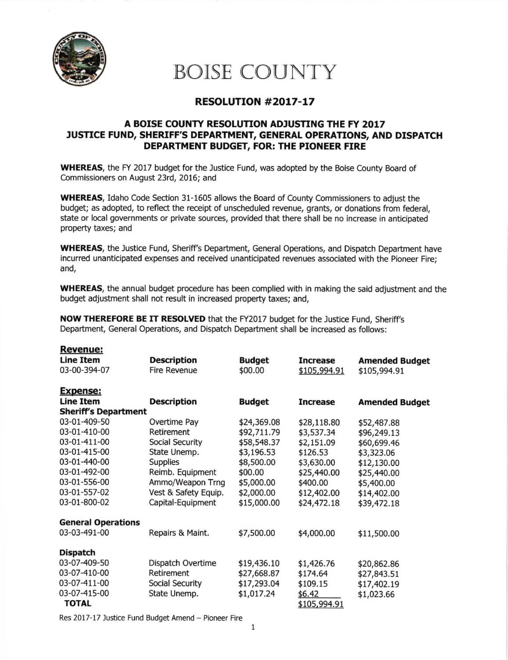

## BOISE COUNTY

## RESOLUTION #2017-17

## A BOISE COUNTY RESOLUTION ADJUSTING THE FY 2017 JUSTICE FUND, SHERIFF'S DEPARTMENT, GENERAL OPERATIONS, AND DISPATCH DEPARTMENT BUDGET, FOR: THE PIONEER FIRE

WHEREAS, the FY 2017 budget for the Justice Fund, was adopted by the Boise County Board of Commissioners on August 23rd, 2016; and

WHEREAS, Idaho Code Section 31-1605 allows the Eoard of County Commissioners to adjust the budget; as adopted, to reflect the receipt of unscheduled revenue, grants, or donations from federal, state or local governments or private sources, provided that there shall be no increase in anticipated property taxes; and

WHEREAS, the Justice Fund, Sheriff's Department, General Operations, and Dispatch Department have incurred unanticipated expenses and received unanticipated revenues associated with the Pioneer Fire; and,

WHEREAS, the annual budget procedure has been complied with in making the said adjustment and the budget adjustment shall not result in increased property taxes; and,

NOW THEREFORE BE IT RESOLVED that the FY2017 budget for the Justice Fund, Sheriff's Department, General Operations, and Dispatch Department shall be increased as follows:

| <b>Revenue:</b> |  |  |  |
|-----------------|--|--|--|
|                 |  |  |  |

| <u><u></u></u>              |                      |               |                 |                       |
|-----------------------------|----------------------|---------------|-----------------|-----------------------|
| <b>Line Item</b>            | <b>Description</b>   | <b>Budget</b> | <b>Increase</b> | <b>Amended Budget</b> |
| 03-00-394-07                | <b>Fire Revenue</b>  | \$00.00       | \$105,994.91    | \$105,994.91          |
|                             |                      |               |                 |                       |
| <b>Expense:</b>             |                      |               |                 |                       |
| <b>Line Item</b>            | <b>Description</b>   | <b>Budget</b> | <b>Increase</b> | <b>Amended Budget</b> |
| <b>Sheriff's Department</b> |                      |               |                 |                       |
| 03-01-409-50                | Overtime Pay         | \$24,369.08   | \$28,118.80     | \$52,487.88           |
| 03-01-410-00                | Retirement           | \$92,711.79   | \$3,537.34      | \$96,249.13           |
| 03-01-411-00                | Social Security      | \$58,548.37   | \$2,151.09      | \$60,699.46           |
| 03-01-415-00                | State Unemp.         | \$3,196.53    | \$126.53        | \$3,323.06            |
| 03-01-440-00                | <b>Supplies</b>      | \$8,500.00    | \$3,630.00      | \$12,130.00           |
| 03-01-492-00                | Reimb. Equipment     | \$00.00       | \$25,440.00     | \$25,440.00           |
| 03-01-556-00                | Ammo/Weapon Trng     | \$5,000.00    | \$400.00        | \$5,400.00            |
| 03-01-557-02                | Vest & Safety Equip. | \$2,000.00    | \$12,402.00     | \$14,402.00           |
| 03-01-800-02                | Capital-Equipment    | \$15,000.00   | \$24,472.18     | \$39,472.18           |
|                             |                      |               |                 |                       |
| <b>General Operations</b>   |                      |               |                 |                       |
| 03-03-491-00                | Repairs & Maint.     | \$7,500.00    | \$4,000.00      | \$11,500.00           |
| <b>Dispatch</b>             |                      |               |                 |                       |
| 03-07-409-50                | Dispatch Overtime    | \$19,436.10   |                 |                       |
| 03-07-410-00                | Retirement           |               | \$1,426.76      | \$20,862.86           |
|                             |                      | \$27,668.87   | \$174.64        | \$27,843.51           |
| 03-07-411-00                | Social Security      | \$17,293.04   | \$109.15        | \$17,402.19           |
| 03-07-415-00                | State Unemp.         | \$1,017.24    | \$6.42          | \$1,023.66            |
| <b>TOTAL</b>                |                      |               | \$105,994.91    |                       |

Res 2017-17 Justice Fund Budget Amend - Pioneer Fire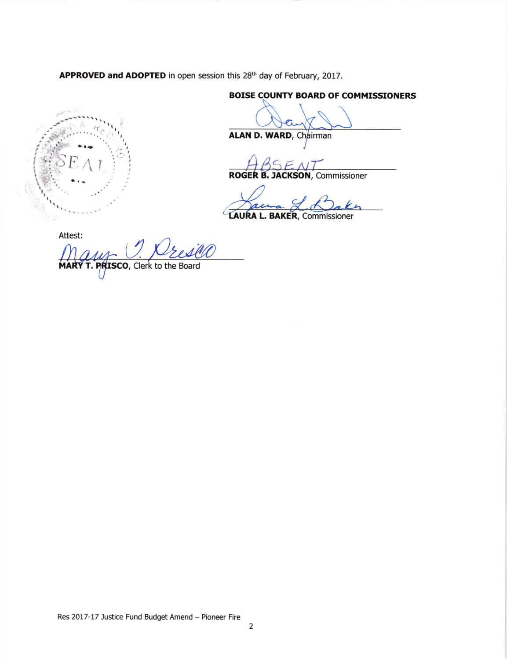APPROVED and ADOPTED in open session this 28<sup>th</sup> day of February, 2017.

**BOISE COUNTY BOARD OF COMMISSIONERS** 

ALAN D. WARD, Chairman

**ROGER B. JACKSON, Commissioner** 

 $\epsilon$ ai

**LAURA L. BAKER, Commissioner** 

Attest:

T. PRISCO, Clerk to the Board **MARY**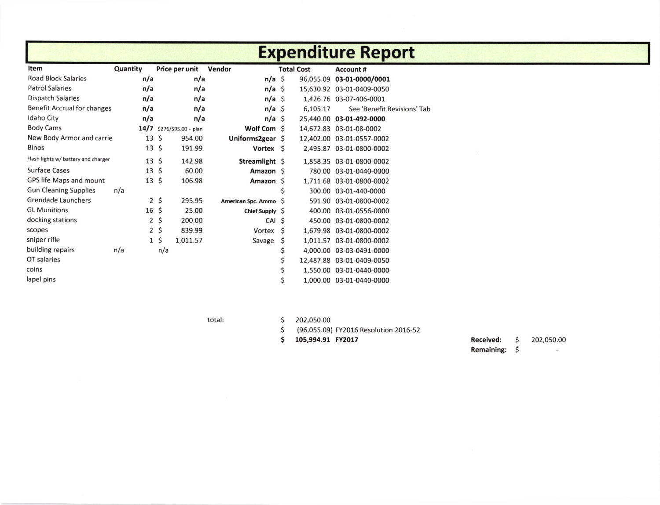|                                     |                 |                      |                           |              |                   | <b>Expenditure Report</b>   |
|-------------------------------------|-----------------|----------------------|---------------------------|--------------|-------------------|-----------------------------|
| Item                                | Quantity        | Price per unit       | Vendor                    |              | <b>Total Cost</b> | <b>Account #</b>            |
| <b>Road Block Salaries</b>          | n/a             | n/a                  | $n/a \simeq$              |              |                   | 96,055.09 03-01-0000/0001   |
| <b>Patrol Salaries</b>              | n/a             | n/a                  | $n/a \simeq$              |              |                   | 15,630.92 03-01-0409-0050   |
| <b>Dispatch Salaries</b>            | n/a             | n/a                  | $n/a \simeq$              |              |                   | 1,426.76 03-07-406-0001     |
| <b>Benefit Accrual for changes</b>  | n/a             | n/a                  | $n/a \simeq$              |              | 6,105.17          | See 'Benefit Revisions' Tab |
| Idaho City                          | n/a             | n/a                  | $n/a \simeq$              |              |                   | 25,440.00 03-01-492-0000    |
| <b>Body Cams</b>                    | 14/7            | \$276/\$95.00 + plan | Wolf Com \$               |              |                   | 14,672.83 03-01-08-0002     |
| New Body Armor and carrie           | 13              | \$<br>954.00         | Uniforms2gear \$          |              |                   | 12,402.00 03-01-0557-0002   |
| <b>Binos</b>                        | 13              | \$<br>191.99         | Vortex \$                 |              |                   | 2,495.87 03-01-0800-0002    |
| Flash lights w/ battery and charger | $13 \;$ \$      | 142.98               | Streamlight \$            |              |                   | 1,858.35 03-01-0800-0002    |
| <b>Surface Cases</b>                | $13 \;$ \$      | 60.00                | Amazon S                  |              |                   | 780.00 03-01-0440-0000      |
| GPS life Maps and mount             | 13              | \$<br>106.98         | Amazon S                  |              |                   | 1,711.68 03-01-0800-0002    |
| <b>Gun Cleaning Supplies</b>        | n/a             |                      |                           | \$           |                   | 300.00 03-01-440-0000       |
| <b>Grendade Launchers</b>           | 2               | \$<br>295.95         | <b>American Spc. Ammo</b> | <sub>S</sub> |                   | 591.90 03-01-0800-0002      |
| <b>GL Munitions</b>                 | 16 <sup>5</sup> | 25.00                | Chief Supply S            |              |                   | 400.00 03-01-0556-0000      |
| docking stations                    | 2               | \$<br>200.00         | CAI \$                    |              |                   | 450.00 03-01-0800-0002      |
| scopes                              | $\overline{2}$  | \$<br>839.99         | Vortex                    | Ŝ            |                   | 1,679.98 03-01-0800-0002    |
| sniper rifle                        | $\mathbf{1}$    | \$<br>1,011.57       | Savage                    | \$           |                   | 1,011.57 03-01-0800-0002    |
| building repairs                    | n/a             | n/a                  |                           | \$           |                   | 4,000.00 03-03-0491-0000    |
| OT salaries                         |                 |                      |                           | \$           |                   | 12,487.88 03-01-0409-0050   |
| coins                               |                 |                      |                           | \$           |                   | 1,550.00 03-01-0440-0000    |
| lapel pins                          |                 |                      |                           | \$           |                   | 1,000.00 03-01-0440-0000    |

total:

\$ 202,050.00

\$ (96,055.09) FY2016 Resolution 2016-52

\$ 105,994.91 FY2017

**Received:**  $\zeta$ 202,050.00

Remaining: \$

 $\sim$